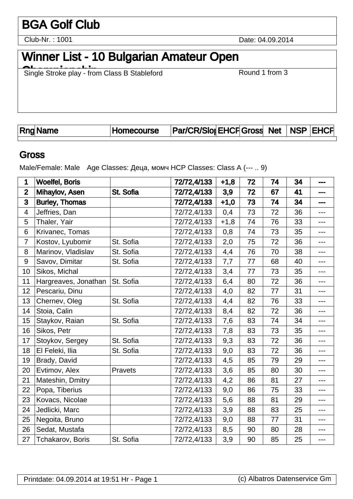# BGA Golf Club

Club-Nr. : 1001

Date: 04.09.2014

# Winner List - 10 Bulgarian Amateur Open

Single Stroke play - from Class B Stableford Round 1 from 3

|  | <b>Rng Name</b> | Homecourse | <b>Par/CR/Slor EHCF Gross Net NSP EHCF</b> |  |  |  |  |  |
|--|-----------------|------------|--------------------------------------------|--|--|--|--|--|
|--|-----------------|------------|--------------------------------------------|--|--|--|--|--|

#### **Gross**

Male/Female: Male Age Classes:  $\overline{a}$ , HCP Classes: Class A (--- .. 9)

| 1                        | <b>Woelfel, Boris</b> |           | 72/72,4/133 | $+1,8$ | 72 | 74 | 34 | ---               |
|--------------------------|-----------------------|-----------|-------------|--------|----|----|----|-------------------|
| $\overline{2}$           | Mihaylov, Asen        | St. Sofia | 72/72,4/133 | 3,9    | 72 | 67 | 41 | ---               |
| 3                        | <b>Burley, Thomas</b> |           | 72/72,4/133 | $+1,0$ | 73 | 74 | 34 | ---               |
| $\overline{\mathcal{A}}$ | Jeffries, Dan         |           | 72/72,4/133 | 0,4    | 73 | 72 | 36 | $---$             |
| 5                        | Thaler, Yair          |           | 72/72,4/133 | $+1,8$ | 74 | 76 | 33 | ---               |
| 6                        | Krivanec, Tomas       |           | 72/72,4/133 | 0,8    | 74 | 73 | 35 | $---$             |
| $\overline{7}$           | Kostov, Lyubomir      | St. Sofia | 72/72,4/133 | 2,0    | 75 | 72 | 36 | $\qquad \qquad -$ |
| 8                        | Marinov, Vladislav    | St. Sofia | 72/72,4/133 | 4,4    | 76 | 70 | 38 | ---               |
| $9\,$                    | Savov, Dimitar        | St. Sofia | 72/72,4/133 | 7,7    | 77 | 68 | 40 | $---$             |
| 10                       | Sikos, Michal         |           | 72/72,4/133 | 3,4    | 77 | 73 | 35 | $---$             |
| 11                       | Hargreaves, Jonathan  | St. Sofia | 72/72,4/133 | 6,4    | 80 | 72 | 36 | ---               |
| 12                       | Pescariu, Dinu        |           | 72/72,4/133 | 4,0    | 82 | 77 | 31 | ---               |
| 13                       | Chernev, Oleg         | St. Sofia | 72/72,4/133 | 4,4    | 82 | 76 | 33 | ---               |
| 14                       | Stoia, Calin          |           | 72/72,4/133 | 8,4    | 82 | 72 | 36 | ---               |
| 15                       | Staykov, Raian        | St. Sofia | 72/72,4/133 | 7,6    | 83 | 74 | 34 | $---$             |
| 16                       | Sikos, Petr           |           | 72/72,4/133 | 7,8    | 83 | 73 | 35 | ---               |
| 17                       | Stoykov, Sergey       | St. Sofia | 72/72,4/133 | 9,3    | 83 | 72 | 36 | ---               |
| 18                       | El Feleki, Ilia       | St. Sofia | 72/72,4/133 | 9,0    | 83 | 72 | 36 | $---$             |
| 19                       | Brady, David          |           | 72/72,4/133 | 4,5    | 85 | 79 | 29 | $---$             |
| 20                       | Evtimov, Alex         | Pravets   | 72/72,4/133 | 3,6    | 85 | 80 | 30 | ---               |
| 21                       | Mateshin, Dmitry      |           | 72/72,4/133 | 4,2    | 86 | 81 | 27 | ---               |
| 22                       | Popa, Tiberius        |           | 72/72,4/133 | 9,0    | 86 | 75 | 33 | $---$             |
| 23                       | Kovacs, Nicolae       |           | 72/72,4/133 | 5,6    | 88 | 81 | 29 | $---$             |
| 24                       | Jedlicki, Marc        |           | 72/72,4/133 | 3,9    | 88 | 83 | 25 | ---               |
| 25                       | Negoita, Bruno        |           | 72/72,4/133 | 9,0    | 88 | 77 | 31 | $---$             |
| 26                       | Sedat, Mustafa        |           | 72/72,4/133 | 8,5    | 90 | 80 | 28 | $---$             |
| 27                       | Tchakarov, Boris      | St. Sofia | 72/72,4/133 | 3,9    | 90 | 85 | 25 | $---$             |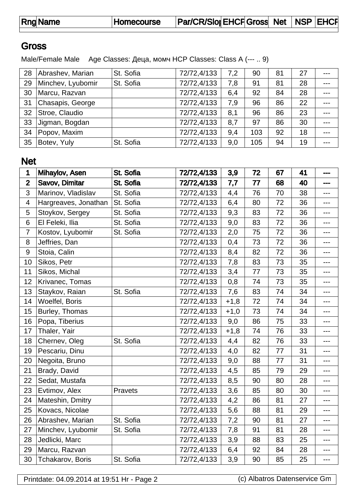Rng Name Homecourse Par/CR/SlopeHCFGross Net NSP EHCF

## **Gross**

Male/Female Male Age Classes:  $\overline{a}$ , HCP Classes: Class A (--- .. 9)

| 28 | Abrashev, Marian  | St. Sofia | 72/72,4/133 | 7,2 | 90  | 81 | 27 |       |
|----|-------------------|-----------|-------------|-----|-----|----|----|-------|
| 29 | Minchev, Lyubomir | St. Sofia | 72/72,4/133 | 7,8 | 91  | 81 | 28 |       |
| 30 | Marcu, Razvan     |           | 72/72,4/133 | 6,4 | 92  | 84 | 28 |       |
| 31 | Chasapis, George  |           | 72/72,4/133 | 7,9 | 96  | 86 | 22 |       |
| 32 | Stroe, Claudio    |           | 72/72,4/133 | 8,1 | 96  | 86 | 23 |       |
| 33 | Jigman, Bogdan    |           | 72/72,4/133 | 8,7 | 97  | 86 | 30 | $---$ |
| 34 | Popov, Maxim      |           | 72/72,4/133 | 9,4 | 103 | 92 | 18 |       |
| 35 | Botev, Yuly       | St. Sofia | 72/72,4/133 | 9,0 | 105 | 94 | 19 | ---   |

## Net

| 1              | Mihaylov, Asen       | St. Sofia | 72/72,4/133 | 3,9    | 72 | 67 | 41 | ---   |
|----------------|----------------------|-----------|-------------|--------|----|----|----|-------|
| $\overline{2}$ | Savov, Dimitar       | St. Sofia | 72/72,4/133 | 7,7    | 77 | 68 | 40 | ---   |
| 3              | Marinov, Vladislav   | St. Sofia | 72/72,4/133 | 4,4    | 76 | 70 | 38 | ---   |
| $\overline{4}$ | Hargreaves, Jonathan | St. Sofia | 72/72,4/133 | 6,4    | 80 | 72 | 36 | ---   |
| 5              | Stoykov, Sergey      | St. Sofia | 72/72,4/133 | 9,3    | 83 | 72 | 36 | ---   |
| $\,6$          | El Feleki, Ilia      | St. Sofia | 72/72,4/133 | 9,0    | 83 | 72 | 36 | ---   |
| $\overline{7}$ | Kostov, Lyubomir     | St. Sofia | 72/72,4/133 | 2,0    | 75 | 72 | 36 | ---   |
| 8              | Jeffries, Dan        |           | 72/72,4/133 | 0,4    | 73 | 72 | 36 | ---   |
| 9              | Stoia, Calin         |           | 72/72,4/133 | 8,4    | 82 | 72 | 36 | $---$ |
| 10             | Sikos, Petr          |           | 72/72,4/133 | 7,8    | 83 | 73 | 35 | ---   |
| 11             | Sikos, Michal        |           | 72/72,4/133 | 3,4    | 77 | 73 | 35 | ---   |
| 12             | Krivanec, Tomas      |           | 72/72,4/133 | 0,8    | 74 | 73 | 35 | ---   |
| 13             | Staykov, Raian       | St. Sofia | 72/72,4/133 | 7,6    | 83 | 74 | 34 | ---   |
| 14             | Woelfel, Boris       |           | 72/72,4/133 | $+1,8$ | 72 | 74 | 34 | ---   |
| 15             | Burley, Thomas       |           | 72/72,4/133 | $+1,0$ | 73 | 74 | 34 | ---   |
| 16             | Popa, Tiberius       |           | 72/72,4/133 | 9,0    | 86 | 75 | 33 | $---$ |
| 17             | Thaler, Yair         |           | 72/72,4/133 | $+1,8$ | 74 | 76 | 33 | ---   |
| 18             | Chernev, Oleg        | St. Sofia | 72/72,4/133 | 4,4    | 82 | 76 | 33 | $---$ |
| 19             | Pescariu, Dinu       |           | 72/72,4/133 | 4,0    | 82 | 77 | 31 | ---   |
| 20             | Negoita, Bruno       |           | 72/72,4/133 | 9,0    | 88 | 77 | 31 | ---   |
| 21             | Brady, David         |           | 72/72,4/133 | 4,5    | 85 | 79 | 29 | ---   |
| 22             | Sedat, Mustafa       |           | 72/72,4/133 | 8,5    | 90 | 80 | 28 | ---   |
| 23             | Evtimov, Alex        | Pravets   | 72/72,4/133 | 3,6    | 85 | 80 | 30 | ---   |
| 24             | Mateshin, Dmitry     |           | 72/72,4/133 | 4,2    | 86 | 81 | 27 | $---$ |
| 25             | Kovacs, Nicolae      |           | 72/72,4/133 | 5,6    | 88 | 81 | 29 | ---   |
| 26             | Abrashev, Marian     | St. Sofia | 72/72,4/133 | 7,2    | 90 | 81 | 27 | $---$ |
| 27             | Minchev, Lyubomir    | St. Sofia | 72/72,4/133 | 7,8    | 91 | 81 | 28 | ---   |
| 28             | Jedlicki, Marc       |           | 72/72,4/133 | 3,9    | 88 | 83 | 25 | $---$ |
| 29             | Marcu, Razvan        |           | 72/72,4/133 | 6,4    | 92 | 84 | 28 | ---   |
| 30             | Tchakarov, Boris     | St. Sofia | 72/72,4/133 | 3,9    | 90 | 85 | 25 | ---   |

Printdate: 04.09.2014 at 19:51 Hr - Page 2 (c) Albatros Datenservice Gm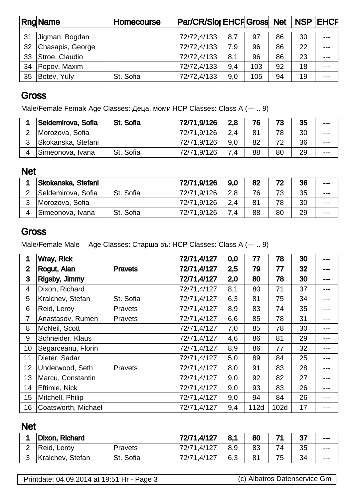|    | <b>Rng Name</b>  | <b>Homecourse</b> | Par/CR/Slor EHCF Gross Net   NSP   EHCF |     |     |    |    |       |
|----|------------------|-------------------|-----------------------------------------|-----|-----|----|----|-------|
| 31 | Jigman, Bogdan   |                   | 72/72,4/133                             | 8,7 | 97  | 86 | 30 | $---$ |
| 32 | Chasapis, George |                   | 72/72,4/133                             | 7,9 | 96  | 86 | 22 | $---$ |
| 33 | Stroe, Claudio   |                   | 72/72,4/133                             | 8,1 | 96  | 86 | 23 | $---$ |
| 34 | Popov, Maxim     |                   | 72/72,4/133                             | 9,4 | 103 | 92 | 18 | ---   |
| 35 | Botev, Yuly      | St. Sofia         | 72/72,4/133                             | 9,0 | 105 | 94 | 19 | ---   |

#### **Gross**

Male/Female Female Age Classes:  $\overline{a}$ , HCP Classes: Class A (--- .. 9)

| Seldemirova, Sofia | St. Sofia | 72/71.9/126 | 2.8 | 76 | 73 | 35 | ---     |
|--------------------|-----------|-------------|-----|----|----|----|---------|
| Morozova, Sofia    |           | 72/71,9/126 | 2.4 | 81 | 78 | 30 | $-- -$  |
| Skokanska, Stefani |           | 72/71,9/126 | 9.0 | 82 | 72 | 36 | $- - -$ |
| Simeonova, Ivana   | St. Sofia | 72/71,9/126 | 7.4 | 88 | 80 | 29 | ---     |

### Net

| Skokanska, Stefani |           | 72/71,9/126 | 9.0 | 82 | 72 | 36 | --- |
|--------------------|-----------|-------------|-----|----|----|----|-----|
| Seldemirova, Sofia | St. Sofia | 72/71.9/126 | 2.8 | 76 | 73 | 35 | --- |
| Morozova, Sofia    |           | 72/71.9/126 | 2.4 | 81 | 78 | 30 | --- |
| Simeonova, Ivana   | St. Sofia | 72/71,9/126 | 7.4 | 88 | 80 | 29 | --- |

## **Gross**

Male/Female Male Age Classes: HCP Classes: Class A (--- .. 9)

| 1              | Wray, Rick          |                | 72/71,4/127 | 0,0 | 77   | 78   | 30 | --- |
|----------------|---------------------|----------------|-------------|-----|------|------|----|-----|
| $\overline{2}$ | Rogut, Alan         | <b>Pravets</b> | 72/71,4/127 | 2,5 | 79   | 77   | 32 | --- |
| 3              | Rigsby, Jimmy       |                | 72/71,4/127 | 2,0 | 80   | 78   | 30 | --- |
| 4              | Dixon, Richard      |                | 72/71,4/127 | 8,1 | 80   | 71   | 37 |     |
| 5              | Kralchev, Stefan    | St. Sofia      | 72/71,4/127 | 6,3 | 81   | 75   | 34 | --- |
| 6              | Reid, Leroy         | <b>Pravets</b> | 72/71,4/127 | 8,9 | 83   | 74   | 35 | --- |
| $\overline{7}$ | Anastasov, Rumen    | Pravets        | 72/71,4/127 | 6,6 | 85   | 78   | 31 | --- |
| 8              | McNeil, Scott       |                | 72/71,4/127 | 7,0 | 85   | 78   | 30 | --- |
| 9              | Schneider, Klaus    |                | 72/71,4/127 | 4,6 | 86   | 81   | 29 | --- |
| 10             | Segarceanu, Florin  |                | 72/71,4/127 | 8,9 | 86   | 77   | 32 | --- |
| 11             | Dieter, Sadar       |                | 72/71,4/127 | 5,0 | 89   | 84   | 25 | --- |
| 12             | Underwood, Seth     | Pravets        | 72/71,4/127 | 8,0 | 91   | 83   | 28 |     |
| 13             | Marcu, Constantin   |                | 72/71,4/127 | 9,0 | 92   | 82   | 27 | --- |
| 14             | Eftimie, Nick       |                | 72/71,4/127 | 9,0 | 93   | 83   | 26 | --- |
| 15             | Mitchell, Philip    |                | 72/71,4/127 | 9,0 | 94   | 84   | 26 | --- |
| 16             | Coatsworth, Michael |                | 72/71,4/127 | 9,4 | 112d | 102d | 17 |     |

## Net

| Dixon, Richard   |           | 72/71,4/127 | 8.1 | 80 |    | 27 | $- - -$ |
|------------------|-----------|-------------|-----|----|----|----|---------|
| Reid, Leroy      | Pravets   | 72/71,4/127 | 8.9 | 83 |    | 35 | $---$   |
| Kralchev, Stefan | St. Sofia | 72/71,4/127 | 6,3 |    | 75 | 34 | $- - -$ |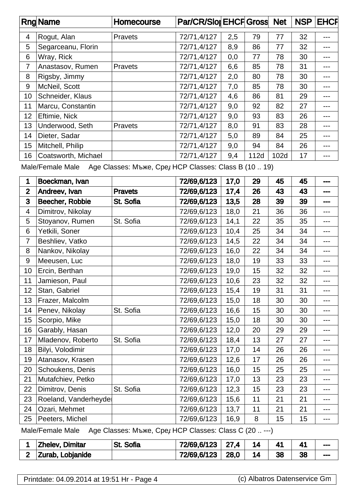|    | <b>Rng Name</b>     | Homecourse     | Par/CR/Slor EHCF Gross Net |     |      |      | <b>NSP</b> | <b>EHCF</b> |
|----|---------------------|----------------|----------------------------|-----|------|------|------------|-------------|
|    |                     |                |                            |     |      |      |            |             |
| 4  | Rogut, Alan         | <b>Pravets</b> | 72/71,4/127                | 2,5 | 79   | 77   | 32         | ---         |
| 5  | Segarceanu, Florin  |                | 72/71,4/127                | 8,9 | 86   | 77   | 32         | $---$       |
| 6  | Wray, Rick          |                | 72/71,4/127                | 0,0 | 77   | 78   | 30         | ---         |
| 7  | Anastasov, Rumen    | <b>Pravets</b> | 72/71,4/127                | 6,6 | 85   | 78   | 31         | $---$       |
| 8  | Rigsby, Jimmy       |                | 72/71,4/127                | 2,0 | 80   | 78   | 30         | ---         |
| 9  | McNeil, Scott       |                | 72/71,4/127                | 7,0 | 85   | 78   | 30         | $---$       |
| 10 | Schneider, Klaus    |                | 72/71,4/127                | 4,6 | 86   | 81   | 29         | ---         |
| 11 | Marcu, Constantin   |                | 72/71,4/127                | 9,0 | 92   | 82   | 27         | ---         |
| 12 | Eftimie, Nick       |                | 72/71,4/127                | 9,0 | 93   | 83   | 26         | ---         |
| 13 | Underwood, Seth     | <b>Pravets</b> | 72/71,4/127                | 8,0 | 91   | 83   | 28         | ---         |
| 14 | Dieter, Sadar       |                | 72/71,4/127                | 5,0 | 89   | 84   | 25         | ---         |
| 15 | Mitchell, Philip    |                | 72/71,4/127                | 9,0 | 94   | 84   | 26         | ---         |
| 16 | Coatsworth, Michael |                | 72/71,4/127                | 9,4 | 112d | 102d | 17         | ---         |

Male/Female Male Age Classes: ( $\overline{R}$ , HCP Classes: Class B (10 .. 19)

| 1              | Boeckman, Ivan                                                          |                | 72/69,6/123 | 17,0 | 29 | 45 | 45 | --- |  |  |  |
|----------------|-------------------------------------------------------------------------|----------------|-------------|------|----|----|----|-----|--|--|--|
| $\mathbf{2}$   | Andreev, Ivan                                                           | <b>Pravets</b> | 72/69,6/123 | 17,4 | 26 | 43 | 43 | --- |  |  |  |
| 3              | Beecher, Robbie                                                         | St. Sofia      | 72/69,6/123 | 13,5 | 28 | 39 | 39 | --- |  |  |  |
| $\overline{4}$ | Dimitrov, Nikolay                                                       |                | 72/69,6/123 | 18,0 | 21 | 36 | 36 | --- |  |  |  |
| 5              | Stoyanov, Rumen                                                         | St. Sofia      | 72/69,6/123 | 14,1 | 22 | 35 | 35 | --- |  |  |  |
| 6              | Yetkili, Soner                                                          |                | 72/69,6/123 | 10,4 | 25 | 34 | 34 | --- |  |  |  |
| $\overline{7}$ | Beshliev, Vatko                                                         |                | 72/69,6/123 | 14,5 | 22 | 34 | 34 | --- |  |  |  |
| 8              | Nankov, Nikolay                                                         |                | 72/69,6/123 | 16,0 | 22 | 34 | 34 | --- |  |  |  |
| 9              | Meeusen, Luc                                                            |                | 72/69,6/123 | 18,0 | 19 | 33 | 33 | --- |  |  |  |
| 10             | Ercin, Berthan                                                          |                | 72/69,6/123 | 19,0 | 15 | 32 | 32 | --- |  |  |  |
| 11             | Jamieson, Paul                                                          |                | 72/69,6/123 | 10,6 | 23 | 32 | 32 | --- |  |  |  |
| 12             | Stan, Gabriel                                                           |                | 72/69,6/123 | 15,4 | 19 | 31 | 31 | --- |  |  |  |
| 13             | Frazer, Malcolm                                                         |                | 72/69,6/123 | 15,0 | 18 | 30 | 30 | --- |  |  |  |
| 14             | Penev, Nikolay                                                          | St. Sofia      | 72/69,6/123 | 16,6 | 15 | 30 | 30 | --- |  |  |  |
| 15             | Scorpio, Mike                                                           |                | 72/69,6/123 | 15,0 | 18 | 30 | 30 | --- |  |  |  |
| 16             | Garably, Hasan                                                          |                | 72/69,6/123 | 12,0 | 20 | 29 | 29 | --- |  |  |  |
| 17             | Mladenov, Roberto                                                       | St. Sofia      | 72/69,6/123 | 18,4 | 13 | 27 | 27 | --- |  |  |  |
| 18             | Bilyi, Volodimir                                                        |                | 72/69,6/123 | 17,0 | 14 | 26 | 26 | --- |  |  |  |
| 19             | Atanasov, Krasen                                                        |                | 72/69,6/123 | 12,6 | 17 | 26 | 26 | --- |  |  |  |
| 20             | Schoukens, Denis                                                        |                | 72/69,6/123 | 16,0 | 15 | 25 | 25 | --- |  |  |  |
| 21             | Mutafchiev, Petko                                                       |                | 72/69,6/123 | 17,0 | 13 | 23 | 23 | --- |  |  |  |
| 22             | Dimitrov, Denis                                                         | St. Sofia      | 72/69,6/123 | 12,3 | 15 | 23 | 23 | --- |  |  |  |
| 23             | Roeland, Vanderheyde                                                    |                | 72/69,6/123 | 15,6 | 11 | 21 | 21 | --- |  |  |  |
| 24             | Ozari, Mehmet                                                           |                | 72/69,6/123 | 13,7 | 11 | 21 | 21 | --- |  |  |  |
| 25             | Peeters, Michel                                                         |                | 72/69,6/123 | 16,9 | 8  | 15 | 15 | --- |  |  |  |
|                | HCP Classes: Class C (20  ---)<br>Male/Female Male<br>Age Classes:<br>, |                |             |      |    |    |    |     |  |  |  |

| <b>Zhelev, Dimitar</b> | <b>St. Sofia</b> | 72/69,6/123 | $\perp$ 27,4 | 14 |    |    | $\mathbf{m}$ |
|------------------------|------------------|-------------|--------------|----|----|----|--------------|
| Zurab, Lobjanide       |                  | 72/69,6/123 | 28,0         | 14 | 38 | 38 | ---          |